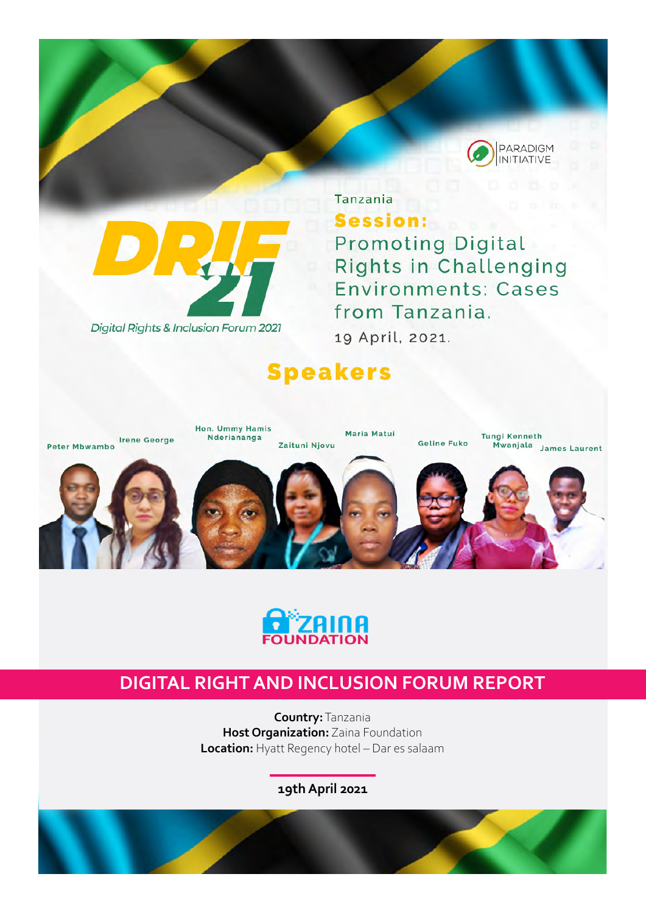



Tanzania Session: **Promoting Digital Rights in Challenging Environments: Cases** from Tanzania.

19 April, 2021.

# **Speakers**





## **DIGITAL RIGHT AND INCLUSION FORUM REPORT**

**Country:** Tanzania **Host Organization:** Zaina Foundation **Location:** Hyatt Regency hotel – Dar es salaam

**19th April 2021**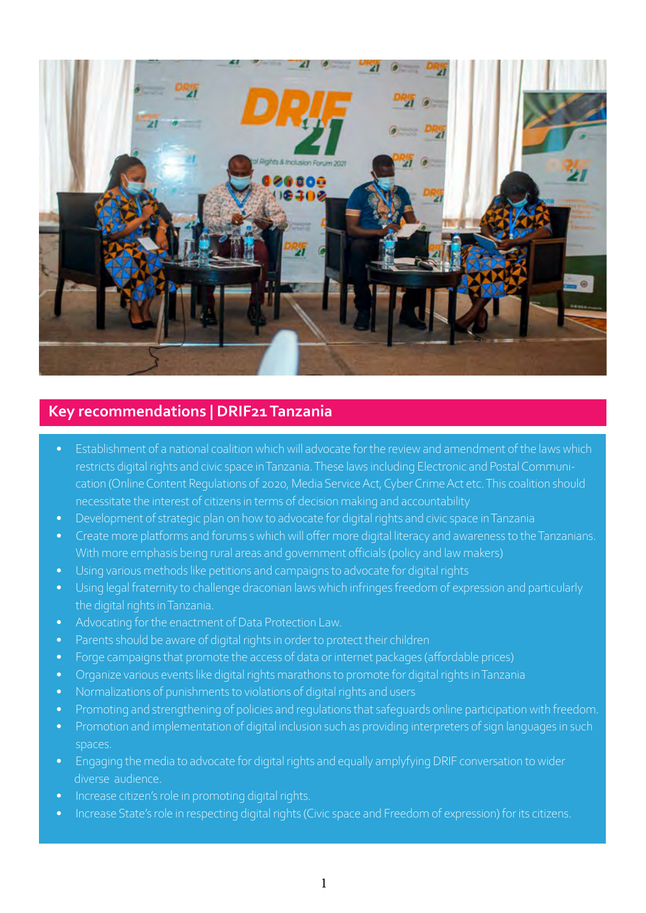

## **Key recommendations | DRIF21 Tanzania**

- Establishment of a national coalition which will advocate for the review and amendment of the laws which restricts digital rights and civic space in Tanzania. These laws including Electronic and Postal Communication (Online Content Regulations of 2020, Media Service Act, Cyber Crime Act etc. This coalition should necessitate the interest of citizens in terms of decision making and accountability
- Development of strategic plan on how to advocate for digital rights and civic space in Tanzania
- Create more platforms and forums s which will offer more digital literacy and awareness to the Tanzanians. With more emphasis being rural areas and government officials (policy and law makers)
- Using various methods like petitions and campaigns to advocate for digital rights
- Using legal fraternity to challenge draconian laws which infringes freedom of expression and particularly the digital rights in Tanzania.
- Advocating for the enactment of Data Protection Law.
- Parents should be aware of digital rights in order to protect their children
- Forge campaigns that promote the access of data or internet packages (affordable prices)
- Organize various events like digital rights marathons to promote for digital rights in Tanzania
- Normalizations of punishments to violations of digital rights and users
- Promoting and strengthening of policies and regulations that safeguards online participation with freedom.
- Promotion and implementation of digital inclusion such as providing interpreters of sign languages in such spaces.
- Engaging the media to advocate for digital rights and equally amplyfying DRIF conversation to wider diverse audience.
- Increase citizen's role in promoting digital rights.
- Increase State's role in respecting digital rights (Civic space and Freedom of expression) for its citizens.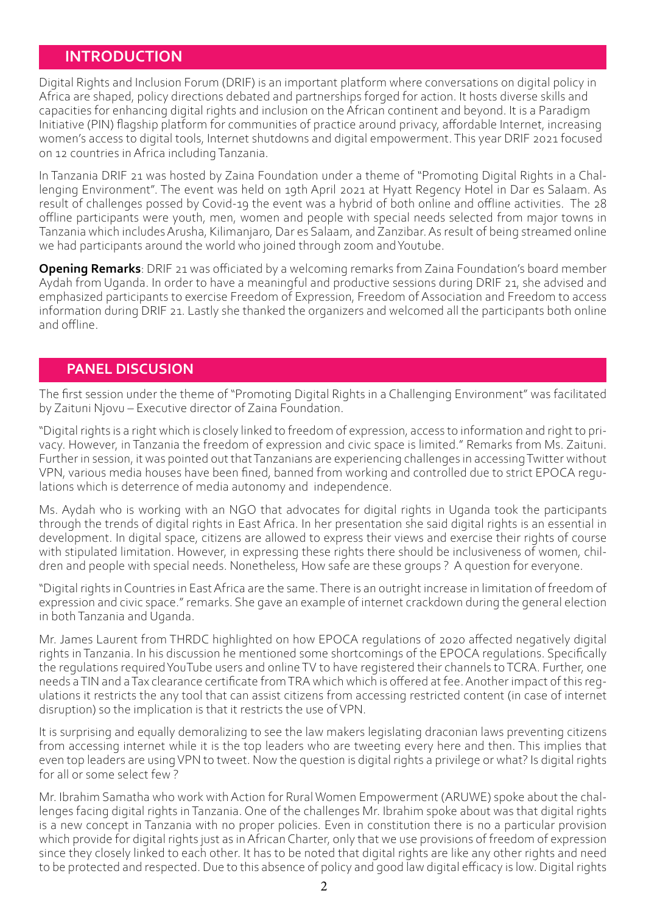### **INTRODUCTION**

Digital Rights and Inclusion Forum (DRIF) is an important platform where conversations on digital policy in Africa are shaped, policy directions debated and partnerships forged for action. It hosts diverse skills and capacities for enhancing digital rights and inclusion on the African continent and beyond. It is a Paradigm Initiative (PIN) flagship platform for communities of practice around privacy, affordable Internet, increasing women's access to digital tools, Internet shutdowns and digital empowerment. This year DRIF 2021 focused on 12 countries in Africa including Tanzania.

In Tanzania DRIF 21 was hosted by Zaina Foundation under a theme of "Promoting Digital Rights in a Challenging Environment". The event was held on 19th April 2021 at Hyatt Regency Hotel in Dar es Salaam. As result of challenges possed by Covid-19 the event was a hybrid of both online and offline activities. The 28 offline participants were youth, men, women and people with special needs selected from major towns in Tanzania which includes Arusha, Kilimanjaro, Dar es Salaam, and Zanzibar. As result of being streamed online we had participants around the world who joined through zoom and Youtube.

**Opening Remarks**: DRIF 21 was officiated by a welcoming remarks from Zaina Foundation's board member Aydah from Uganda. In order to have a meaningful and productive sessions during DRIF 21, she advised and emphasized participants to exercise Freedom of Expression, Freedom of Association and Freedom to access information during DRIF 21. Lastly she thanked the organizers and welcomed all the participants both online and offline.

#### **PANEL DISCUSION**

The first session under the theme of "Promoting Digital Rights in a Challenging Environment" was facilitated by Zaituni Njovu – Executive director of Zaina Foundation.

"Digital rights is a right which is closely linked to freedom of expression, access to information and right to privacy. However, in Tanzania the freedom of expression and civic space is limited." Remarks from Ms. Zaituni. Further in session, it was pointed out that Tanzanians are experiencing challenges in accessing Twitter without VPN, various media houses have been fined, banned from working and controlled due to strict EPOCA regulations which is deterrence of media autonomy and independence.

Ms. Aydah who is working with an NGO that advocates for digital rights in Uganda took the participants through the trends of digital rights in East Africa. In her presentation she said digital rights is an essential in development. In digital space, citizens are allowed to express their views and exercise their rights of course with stipulated limitation. However, in expressing these rights there should be inclusiveness of women, children and people with special needs. Nonetheless, How safe are these groups ? A question for everyone.

"Digital rights in Countries in East Africa are the same. There is an outright increase in limitation of freedom of expression and civic space." remarks. She gave an example of internet crackdown during the general election in both Tanzania and Uganda.

Mr. James Laurent from THRDC highlighted on how EPOCA regulations of 2020 affected negatively digital rights in Tanzania. In his discussion he mentioned some shortcomings of the EPOCA regulations. Specifically the regulations required YouTube users and online TV to have registered their channels to TCRA. Further, one needs a TIN and a Tax clearance certificate from TRA which which is offered at fee. Another impact of this regulations it restricts the any tool that can assist citizens from accessing restricted content (in case of internet disruption) so the implication is that it restricts the use of VPN.

It is surprising and equally demoralizing to see the law makers legislating draconian laws preventing citizens from accessing internet while it is the top leaders who are tweeting every here and then. This implies that even top leaders are using VPN to tweet. Now the question is digital rights a privilege or what? Is digital rights for all or some select few ?

Mr. Ibrahim Samatha who work with Action for Rural Women Empowerment (ARUWE) spoke about the challenges facing digital rights in Tanzania. One of the challenges Mr. Ibrahim spoke about was that digital rights is a new concept in Tanzania with no proper policies. Even in constitution there is no a particular provision which provide for digital rights just as in African Charter, only that we use provisions of freedom of expression since they closely linked to each other. It has to be noted that digital rights are like any other rights and need to be protected and respected. Due to this absence of policy and good law digital efficacy is low. Digital rights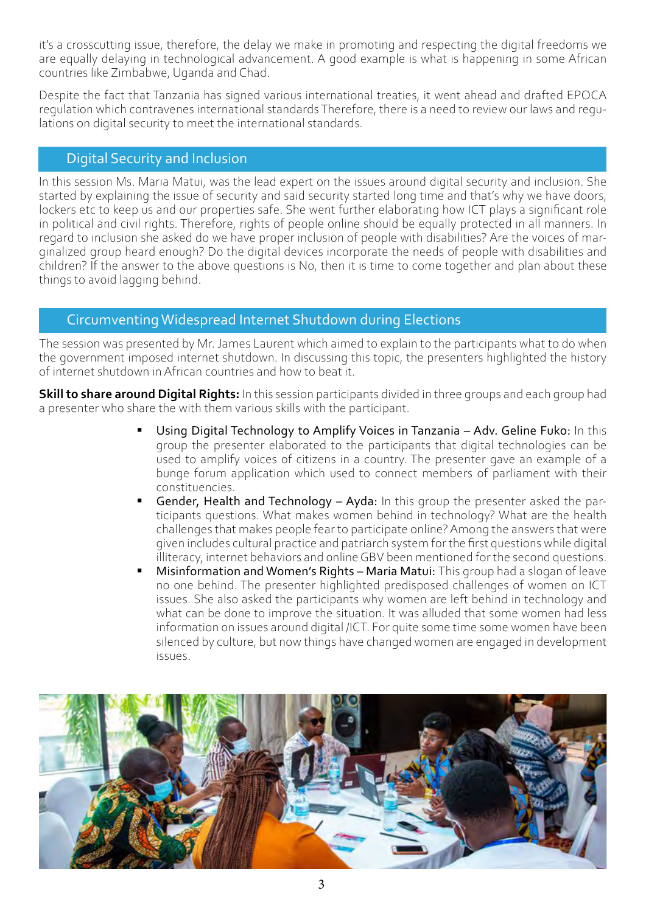it's a crosscutting issue, therefore, the delay we make in promoting and respecting the digital freedoms we are equally delaying in technological advancement. A good example is what is happening in some African countries like Zimbabwe, Uganda and Chad.

Despite the fact that Tanzania has signed various international treaties, it went ahead and drafted EPOCA regulation which contravenes international standards Therefore, there is a need to review our laws and regulations on digital security to meet the international standards.

#### Digital Security and Inclusion

In this session Ms. Maria Matui, was the lead expert on the issues around digital security and inclusion. She started by explaining the issue of security and said security started long time and that's why we have doors, lockers etc to keep us and our properties safe. She went further elaborating how ICT plays a significant role in political and civil rights. Therefore, rights of people online should be equally protected in all manners. In regard to inclusion she asked do we have proper inclusion of people with disabilities? Are the voices of marginalized group heard enough? Do the digital devices incorporate the needs of people with disabilities and children? If the answer to the above questions is No, then it is time to come together and plan about these things to avoid lagging behind.

## Circumventing Widespread Internet Shutdown during Elections

The session was presented by Mr. James Laurent which aimed to explain to the participants what to do when the government imposed internet shutdown. In discussing this topic, the presenters highlighted the history of internet shutdown in African countries and how to beat it.

**Skill to share around Digital Rights:** In this session participants divided in three groups and each group had a presenter who share the with them various skills with the participant.

- Using Digital Technology to Amplify Voices in Tanzania Adv. Geline Fuko: In this group the presenter elaborated to the participants that digital technologies can be used to amplify voices of citizens in a country. The presenter gave an example of a bunge forum application which used to connect members of parliament with their constituencies.
- Gender, Health and Technology Ayda: In this group the presenter asked the participants questions. What makes women behind in technology? What are the health challenges that makes people fear to participate online? Among the answers that were given includes cultural practice and patriarch system for the first questions while digital illiteracy, internet behaviors and online GBV been mentioned for the second questions.
- Misinformation and Women's Rights Maria Matui: This group had a slogan of leave no one behind. The presenter highlighted predisposed challenges of women on ICT issues. She also asked the participants why women are left behind in technology and what can be done to improve the situation. It was alluded that some women had less information on issues around digital /ICT. For quite some time some women have been silenced by culture, but now things have changed women are engaged in development issues.